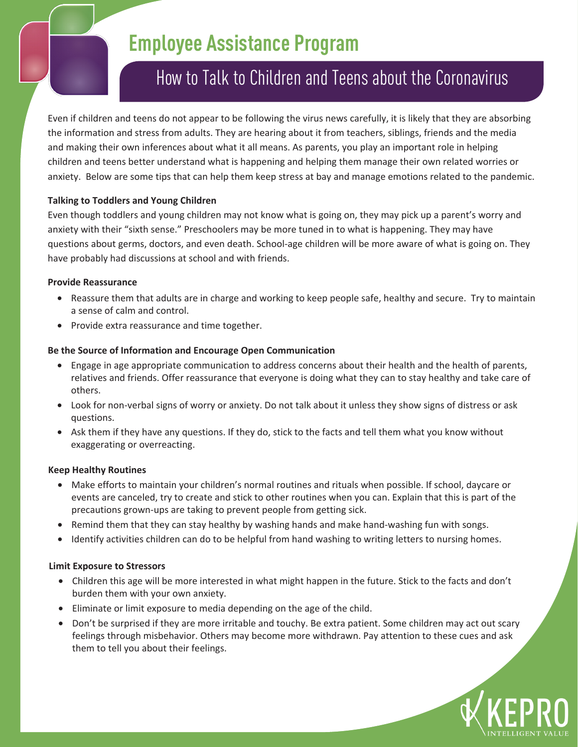# **Employee Assistance Program**

# How to Talk to Children and Teens about the Coronavirus

Even if children and teens do not appear to be following the virus news carefully, it is likely that they are absorbing the information and stress from adults. They are hearing about it from teachers, siblings, friends and the media and making their own inferences about what it all means. As parents, you play an important role in helping children and teens better understand what is happening and helping them manage their own related worries or anxiety. Below are some tips that can help them keep stress at bay and manage emotions related to the pandemic.

# **Talking to Toddlers and Young Children**

Even though toddlers and young children may not know what is going on, they may pick up a parent's worry and anxiety with their "sixth sense." Preschoolers may be more tuned in to what is happening. They may have questions about germs, doctors, and even death. School-age children will be more aware of what is going on. They have probably had discussions at school and with friends.

## **Provide Reassurance**

- Reassure them that adults are in charge and working to keep people safe, healthy and secure. Try to maintain a sense of calm and control.
- Provide extra reassurance and time together.

## **Be the Source of Information and Encourage Open Communication**

- Engage in age appropriate communication to address concerns about their health and the health of parents, relatives and friends. Offer reassurance that everyone is doing what they can to stay healthy and take care of others.
- Look for non-verbal signs of worry or anxiety. Do not talk about it unless they show signs of distress or ask questions.
- Ask them if they have any questions. If they do, stick to the facts and tell them what you know without exaggerating or overreacting.

## **Keep Healthy Routines**

- Make efforts to maintain your children's normal routines and rituals when possible. If school, daycare or events are canceled, try to create and stick to other routines when you can. Explain that this is part of the precautions grown-ups are taking to prevent people from getting sick.
- Remind them that they can stay healthy by washing hands and make hand-washing fun with songs.
- Identify activities children can do to be helpful from hand washing to writing letters to nursing homes.

## **Limit Exposure to Stressors**

- Children this age will be more interested in what might happen in the future. Stick to the facts and don't burden them with your own anxiety.
- Eliminate or limit exposure to media depending on the age of the child.
- Don't be surprised if they are more irritable and touchy. Be extra patient. Some children may act out scary feelings through misbehavior. Others may become more withdrawn. Pay attention to these cues and ask them to tell you about their feelings.